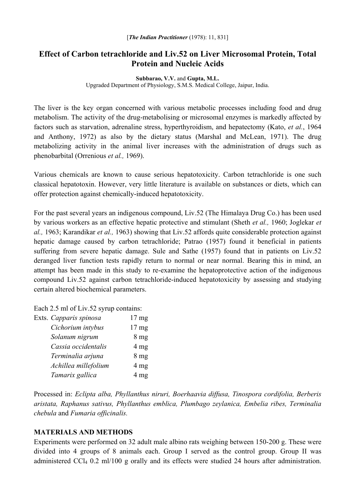# **Effect of Carbon tetrachloride and Liv.52 on Liver Microsomal Protein, Total Protein and Nucleic Acids**

#### **Subbarao, V.V.** and **Gupta, M.L.**

Upgraded Department of Physiology, S.M.S. Medical College, Jaipur, India.

The liver is the key organ concerned with various metabolic processes including food and drug metabolism. The activity of the drug-metabolising or microsomal enzymes is markedly affected by factors such as starvation, adrenaline stress, hyperthyroidism, and hepatectomy (Kato, *et al.*, 1964 and Anthony, 1972) as also by the dietary status (Marshal and McLean, 1971). The drug metabolizing activity in the animal liver increases with the administration of drugs such as phenobarbital (Orrenious *et al.,* 1969).

Various chemicals are known to cause serious hepatotoxicity. Carbon tetrachloride is one such classical hepatotoxin. However, very little literature is available on substances or diets, which can offer protection against chemically-induced hepatotoxicity.

For the past several years an indigenous compound, Liv.52 (The Himalaya Drug Co.) has been used by various workers as an effective hepatic protective and stimulant (Sheth *et al.,* 1960; Joglekar *et al.,* 1963; Karandikar *et al.,* 1963) showing that Liv.52 affords quite considerable protection against hepatic damage caused by carbon tetrachloride; Patrao (1957) found it beneficial in patients suffering from severe hepatic damage. Sule and Sathe (1957) found that in patients on Liv.52 deranged liver function tests rapidly return to normal or near normal. Bearing this in mind, an attempt has been made in this study to re-examine the hepatoprotective action of the indigenous compound Liv.52 against carbon tetrachloride-induced hepatotoxicity by assessing and studying certain altered biochemical parameters.

Each 2.5 ml of Liv.52 syrup contains:

| Exts. Capparis spinosa | $17 \text{ mg}$  |
|------------------------|------------------|
| Cichorium intybus      | 17 <sub>mg</sub> |
| Solanum nigrum         | 8 <sub>mg</sub>  |
| Cassia occidentalis    | 4 <sub>mg</sub>  |
| Terminalia arjuna      | 8 <sub>mg</sub>  |
| Achillea millefolium   | $4 \text{ mg}$   |
| Tamarix gallica        | 4 <sub>mg</sub>  |
|                        |                  |

Processed in: *Eclipta alba, Phyllanthus niruri, Boerhaavia diffusa, Tinospora cordifolia, Berberis aristata, Raphanus sativus, Phyllanthus emblica, Plumbago zeylanica, Embelia ribes, Terminalia chebula* and *Fumaria officinalis.* 

#### **MATERIALS AND METHODS**

Experiments were performed on 32 adult male albino rats weighing between 150-200 g. These were divided into 4 groups of 8 animals each. Group I served as the control group. Group II was administered CCl4 0.2 ml/100 g orally and its effects were studied 24 hours after administration.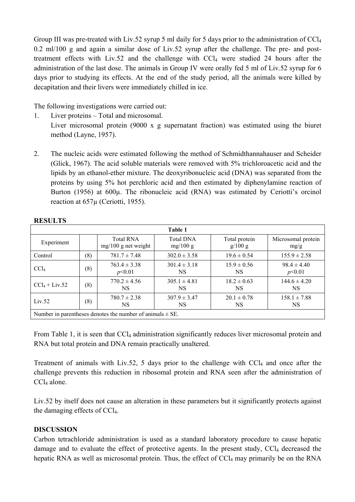Group III was pre-treated with Liv.52 syrup 5 ml daily for 5 days prior to the administration of CCl<sub>4</sub> 0.2 ml/100 g and again a similar dose of Liv.52 syrup after the challenge. The pre- and posttreatment effects with Liv.52 and the challenge with  $CCl<sub>4</sub>$  were studied 24 hours after the administration of the last dose. The animals in Group IV were orally fed 5 ml of Liv.52 syrup for 6 days prior to studying its effects. At the end of the study period, all the animals were killed by decapitation and their livers were immediately chilled in ice.

The following investigations were carried out:

1. Liver proteins – Total and microsomal.

Liver microsomal protein (9000 x g supernatant fraction) was estimated using the biuret method (Layne, 1957).

2. The nucleic acids were estimated following the method of Schmidthannahauser and Scheider (Glick, 1967). The acid soluble materials were removed with 5% trichloroacetic acid and the lipids by an ethanol-ether mixture. The deoxyribonucleic acid (DNA) was separated from the proteins by using 5% hot perchloric acid and then estimated by diphenylamine reaction of Burton (1956) at 600 $\mu$ . The ribonucleic acid (RNA) was estimated by Ceriotti's orcinol reaction at 657µ (Ceriotti, 1955).

| Table 1                                                       |     |                                           |                              |                          |                            |  |
|---------------------------------------------------------------|-----|-------------------------------------------|------------------------------|--------------------------|----------------------------|--|
| Experiment                                                    |     | <b>Total RNA</b><br>$mg/100$ g net weight | <b>Total DNA</b><br>mg/100 g | Total protein<br>g/100 g | Microsomal protein<br>mg/g |  |
| Control                                                       | (8) | $781.7 \pm 7.48$                          | $302.0 \pm 3.58$             | $19.6 \pm 0.54$          | $155.9 \pm 2.58$           |  |
| CCl <sub>4</sub>                                              | (8) | $763.4 \pm 3.38$<br>p<0.01                | $301.4 \pm 3.18$<br>NS.      | $15.9 \pm 0.56$<br>NS    | $98.4 \pm 4.40$<br>p<0.01  |  |
| $CCl_4 + Liv.52$                                              | (8) | $770.2 \pm 4.56$<br>NS                    | $305.1 \pm 4.81$<br>NS.      | $18.2 \pm 0.63$<br>NS.   | $144.6 \pm 4.20$<br>NS.    |  |
| Liv.52                                                        | (8) | $780.7 \pm 2.38$<br>NS                    | $307.9 \pm 3.47$<br>NS.      | $20.1 \pm 0.78$<br>NS.   | $158.1 \pm 7.88$<br>NS.    |  |
| Number in parentheses denotes the number of animals $\pm$ SE. |     |                                           |                              |                          |                            |  |

### **RESULTS**

From Table 1, it is seen that CCl<sub>4</sub> administration significantly reduces liver microsomal protein and RNA but total protein and DNA remain practically unaltered.

Treatment of animals with Liv.52, 5 days prior to the challenge with  $CCl<sub>4</sub>$  and once after the challenge prevents this reduction in ribosomal protein and RNA seen after the administration of CCl<sub>4</sub> alone.

Liv.52 by itself does not cause an alteration in these parameters but it significantly protects against the damaging effects of CCl4.

## **DISCUSSION**

Carbon tetrachloride administration is used as a standard laboratory procedure to cause hepatic damage and to evaluate the effect of protective agents. In the present study, CCl<sub>4</sub> decreased the hepatic RNA as well as microsomal protein. Thus, the effect of CCl<sub>4</sub> may primarily be on the RNA